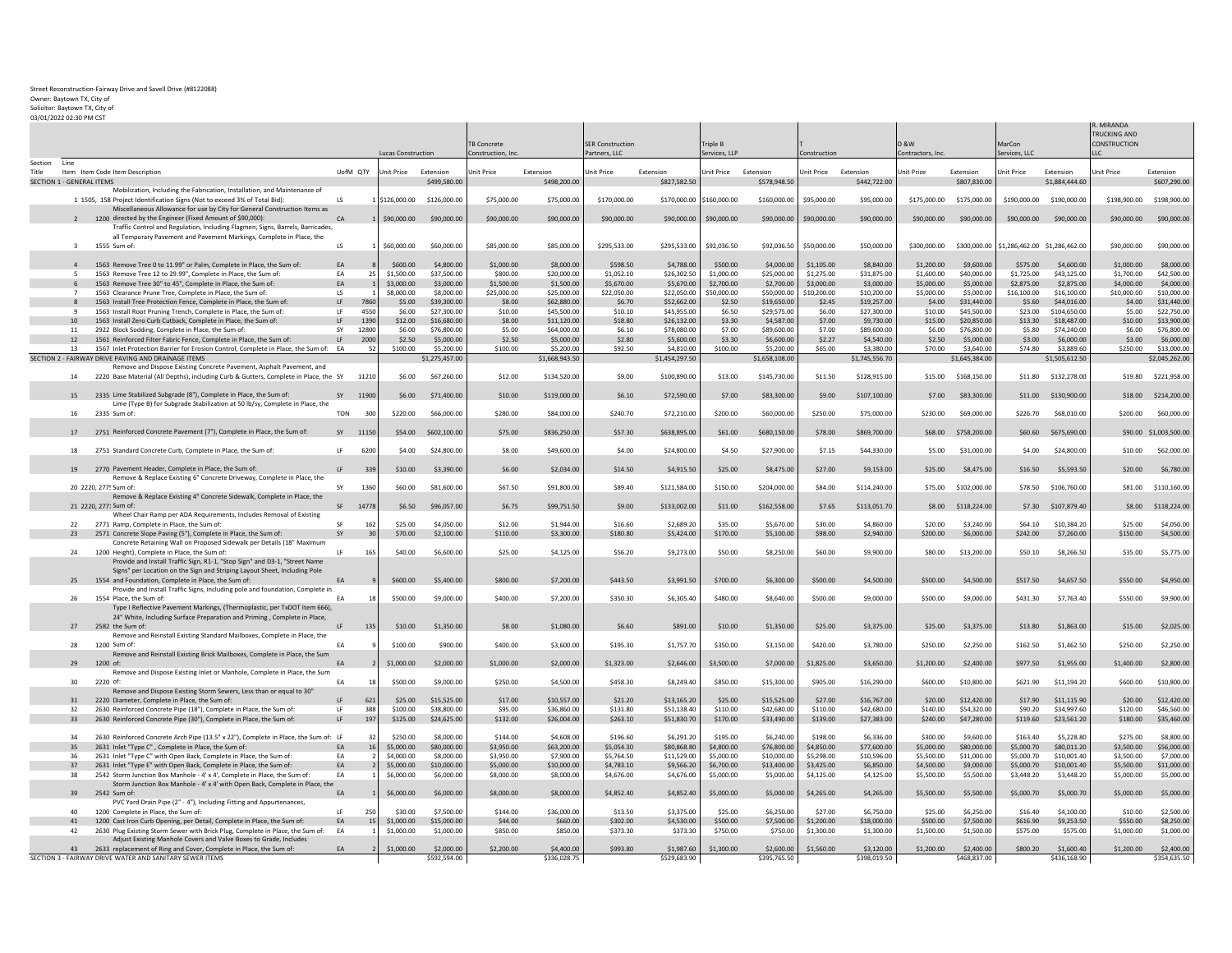## Street Reconstruction-Fairway Drive and Savell Drive (#8122088)

Owner: Baytown TX, City of

Solicitor: Baytown TX, City of 03/01/2022 02:30 PM CST

|  | 73/U1/2022 U2.30 FWI C31 |  |  |
|--|--------------------------|--|--|
|  |                          |  |  |

|                                      |                                                                                                                                                          |                 |              |                        |                            |                        |                            |                         |                            |                        |                            |                          |                            |                          |                            |                               |                             | R. MIRANDA<br>TRUCKING AND |                            |
|--------------------------------------|----------------------------------------------------------------------------------------------------------------------------------------------------------|-----------------|--------------|------------------------|----------------------------|------------------------|----------------------------|-------------------------|----------------------------|------------------------|----------------------------|--------------------------|----------------------------|--------------------------|----------------------------|-------------------------------|-----------------------------|----------------------------|----------------------------|
|                                      |                                                                                                                                                          |                 |              |                        |                            | <b>TB Concrete</b>     |                            | <b>SER Construction</b> |                            | Triple B               |                            |                          |                            | <b>3 &amp; W</b>         |                            | MarCon                        |                             | <b>CONSTRUCTION</b>        |                            |
|                                      |                                                                                                                                                          |                 |              | Lucas Construction     |                            | Construction, Inc      |                            | Partners, LLC           |                            | Services, LLP          |                            | Construction             |                            | Contractors, Inc.        |                            | Services, LLC                 |                             |                            |                            |
| Section Line<br>Title                | Item Item Code Item Description                                                                                                                          | UofM QTY        |              | Unit Price             | Extension                  | Unit Price             | Extension                  | Jnit Price              | Extension                  | Unit Price             | Extension                  | Unit Price Extension     |                            | Unit Price               | Extension                  | Unit Price                    | Extension                   | <b>Jnit Price</b>          | Extension                  |
| <b>SECTION 1 - GENERAL ITEMS</b>     |                                                                                                                                                          |                 |              |                        | \$499,580.00               |                        | \$498,200.00               |                         | \$827,582.50               |                        | \$578,948.50               |                          | \$442,722.00               |                          | \$807,830.00               |                               | \$1,884,444.60              |                            | \$607,290.00               |
|                                      | Mobilization, Including the Fabrication, Installation, and Maintenance of                                                                                |                 |              |                        |                            |                        |                            |                         |                            |                        |                            |                          |                            |                          |                            |                               |                             |                            |                            |
|                                      | 1 1505, 158 Project Identification Signs (Not to exceed 3% of Total Bid):<br>Miscellaneous Allowance for use by City for General Construction Items as   | $\overline{15}$ |              | \$126,000.00           | \$126,000.00               | \$75,000.00            | \$75,000.00                | \$170,000.00            | \$170,000.00               | \$160,000.00           | \$160,000,00               | \$95,000.00              | \$95,000.00                |                          | \$175,000.00 \$175,000.00  | \$190,000,00                  | \$190,000,00                | \$198,900.00               | \$198,900.00               |
|                                      | 1200 directed by the Engineer (Fixed Amount of \$90,000):<br>Traffic Control and Regulation, Including Flagmen, Signs, Barrels, Barricades,              | CA              |              | \$90,000,00            | \$90,000.00                | \$90,000.00            | \$90,000.00                | \$90,000,00             | \$90,000.00                | \$90,000.00            | \$90,000.00                | \$90,000.00              | \$90,000.00                | \$90,000,00              | \$90,000.00                | \$90,000,00                   | \$90,000.00                 | \$90,000,00                | \$90,000.00                |
| $3^{\circ}$                          | all Temporary Pavement and Pavement Markings, Complete in Place, the<br>1555 Sum of                                                                      | LS              |              | \$60,000.00            | \$60,000,00                | \$85,000.00            | \$85,000.00                | \$295.533.00            | \$295.533.00               | \$92,036.50            | \$92,036.50                | \$50,000.00              | \$50,000.00                | \$300,000.00             | \$300,000,00               | \$1.286.462.00 \$1.286.462.00 |                             | \$90,000,00                | \$90,000,00                |
|                                      |                                                                                                                                                          |                 |              |                        |                            |                        |                            |                         |                            |                        |                            |                          |                            |                          |                            |                               |                             |                            |                            |
| $\Delta$<br>$\overline{\phantom{a}}$ | 1563 Remove Tree 0 to 11.99" or Palm, Complete in Place, the Sum of:<br>1563 Remove Tree 12 to 29.99". Complete in Place, the Sum of:                    | EA<br>FA        | 25           | \$600.00<br>\$1,500.00 | \$4,800.00<br>\$37,500.00  | \$1,000.00<br>\$800.00 | \$8,000,00<br>\$20,000.00  | \$598.50<br>\$1.052.10  | \$4,788.00<br>\$26,302.50  | \$500.00<br>\$1,000.00 | \$4,000.00<br>\$25,000.00  | \$1,105.00<br>\$1,275.00 | \$8,840.00<br>\$31,875.00  | \$1,200.00<br>\$1,600.00 | \$9,600.00<br>\$40,000.00  | \$575.00<br>\$1.725.00        | \$4,600,00<br>\$43.125.00   | \$1,000.00<br>\$1,700.00   | \$8,000.00<br>\$42,500.00  |
|                                      | 1563 Remove Tree 30" to 45", Complete in Place, the Sum of:                                                                                              | EA              |              | \$3,000.00             | \$3,000.00                 | \$1,500.00             | \$1,500.00                 | \$5,670.00              | \$5,670.00                 | \$2,700.00             | \$2,700.00                 | \$3,000.00               | \$3,000.00                 | \$5,000.00               | \$5,000.00                 | \$2,875.00                    | \$2,875.00                  | \$4,000.00                 | \$4,000.00                 |
| $\overline{7}$                       | 1563 Clearance Prune Tree. Complete in Place, the Sum of                                                                                                 | LS              |              | \$8,000.00             | \$8,000.00                 | \$25,000.00            | \$25,000.00                | \$22,050.00             | \$22,050.00                | \$50,000.00            | \$50,000.00                | \$10,200.00              | \$10,200.00                | \$5,000.00               | \$5,000,00                 | \$16,100.00                   | \$16,100.00                 | \$10,000.00                | \$10,000.00                |
| $\mathbf{R}$                         | 1563 Install Tree Protection Fence, Complete in Place, the Sum of                                                                                        | LF<br>1F        | 7860<br>4550 | \$5.00<br>\$6.00       | \$39,300.00<br>\$27,300.00 | \$8.00<br>\$10.00      | \$62,880.00<br>\$45,500.00 | \$6.70<br>\$10.10       | \$52.662.00<br>\$45.955.00 | \$2.50<br>\$6.50       | \$19,650.00<br>\$29.575.00 | \$2.45<br>\$6.00         | \$19,257.00<br>\$27,300.00 | \$4.00<br>\$10.00        | \$31,440.00<br>\$45,500.00 | \$5.60<br>\$23.00             | \$44,016.00<br>\$104,650.00 | \$4.00<br>\$5.00           | \$31,440.00<br>\$22,750.00 |
| $\mathbf{q}$<br>10                   | 1563 Install Root Pruning Trench, Complete in Place, the Sum of:<br>1563 Install Zero Curb Cutback, Complete in Place, the Sum of:                       | <b>IF</b>       | 1390         | \$12.00                | \$16,680.00                | \$8.00                 | \$11,120.00                | \$18.80                 | \$26,132.00                | \$3.30                 | \$4,587.00                 | \$7.00                   | \$9,730.00                 | \$15.00                  | \$20,850.00                | \$13.30                       | \$18,487.00                 | \$10.00                    | \$13,900.00                |
| 11                                   | 2922 Block Sodding, Complete in Place, the Sum of                                                                                                        | SY              | 12800        | \$6.00                 | \$76,800.00                | \$5.00                 | \$64,000.00                | \$6.10                  | \$78,080.00                | \$7.00                 | \$89,600.00                | \$7.00                   | \$89,600.00                | \$6.00                   | \$76,800.00                | \$5.80                        | \$74,240.00                 | \$6.00                     | \$76,800.00                |
| 12                                   | 1561 Reinforced Filter Fabric Fence, Complete in Place, the Sum of:                                                                                      | LF              | 2000         | \$2.50                 | \$5,000.00                 | \$2.50                 | \$5,000.00                 | \$2.80                  | \$5,600.00                 | \$3.30                 | \$6,600.00                 | \$2.27                   | \$4,540.00                 | \$2.50                   | \$5,000,00                 | \$3.00                        | \$6,000,00                  | \$3.00                     | \$6,000.00                 |
| 13                                   | 1567 Inlet Protection Barrier for Erosion Control, Complete in Place, the Sum of: EA                                                                     |                 | 52           | \$100.00               | \$5,200.00                 | \$100.00               | \$5,200.00                 | \$92.50                 | \$4,810.00                 | \$100.00               | \$5,200.00                 | \$65.00                  | \$3,380.00                 | \$70.00                  | \$3,640.00                 | \$74.80                       | \$3,889.60                  | \$250.00                   | \$13,000.00                |
|                                      | SECTION 2 - FAIRWAY DRIVE PAVING AND DRAINAGE ITEMS<br>Remove and Dispose Existing Concrete Pavement, Asphalt Pavement, and                              |                 |              |                        | \$1,275,457.00             |                        | \$1,668,943.50             |                         | \$1,454,297.50             |                        | \$1,658,108.00             |                          | \$1,745,556.70             |                          | \$1,645,384.00             |                               | \$1,505,612.50              |                            | \$2,045,262.00             |
| 14                                   | 2220 Base Material (All Depths), including Curb & Gutters, Complete in Place, the SY                                                                     |                 | 11210        | \$6.00                 | \$67,260.00                | \$12.00                | \$134,520.00               | \$9.00                  | \$100,890.00               | \$13.00                | \$145,730.00               | \$11.50                  | \$128,915.00               |                          | \$15.00 \$168,150.00       | \$11.80                       | \$132,278.00                | \$19.80                    | \$221,958.00               |
| 15                                   | 2335 Lime Stabilized Subgrade (8"), Complete in Place, the Sum of:                                                                                       | SY              | 1190         | \$6.00                 | \$71,400.00                | \$10.00                | \$119,000.00               | \$6.10                  | \$72,590.00                | \$7.00                 | \$83,300.00                | \$9.00                   | \$107,100.00               | \$7.00                   | \$83,300.00                |                               | \$11.00 \$130,900.00        |                            | \$18.00 \$214,200.00       |
| 16                                   | Lime (Type B) for Subgrade Stabilization at 50 lb/sy, Complete in Place, the<br>2335 Sum of:                                                             | <b>TON</b>      | 300          | \$220.00               | \$66,000.00                | \$280.00               | \$84,000.00                | \$240.70                | \$72,210.00                | \$200.00               | \$60,000,00                | \$250.00                 | \$75,000.00                | \$230.00                 | \$69,000,00                | \$226.70                      | \$68,010.00                 | \$200.00                   | \$60,000.00                |
| 17                                   | 2751 Reinforced Concrete Pavement (7"), Complete in Place, the Sum of:                                                                                   | SY 11150        |              |                        | \$54.00 \$602,100.00       | \$75.00                | \$836,250.00               | \$57.30                 | \$638,895.00               | \$61.00                | \$680,150.00               | \$78.00                  | \$869,700.00               |                          | \$68.00 \$758,200.00       |                               | \$60.60 \$675,690.00        |                            | \$90.00 \$1,003,500.00     |
| 18                                   | 2751 Standard Concrete Curb, Complete in Place, the Sum of                                                                                               | LE.             | 6200         | \$4.00                 | \$24,800.00                | \$8.00                 | \$49,600.00                | \$4.00                  | \$24,800.00                | \$4.50                 | \$27,900.00                | \$7.15                   | \$44,330.00                | \$5.00                   | \$31,000.00                | \$4.00                        | \$24,800.00                 | \$10.00                    | \$62,000.00                |
| 19                                   | 2770 Pavement Header, Complete in Place, the Sum of                                                                                                      | LF              | 339          | \$10.00                | \$3,390.00                 | \$6.00                 | \$2,034.00                 | \$14.50                 | \$4,915.50                 | \$25.00                | \$8,475.00                 | \$27.00                  | \$9,153.00                 | \$25.00                  | \$8,475.00                 | \$16.50                       | \$5,593.50                  | \$20.00                    | \$6,780.00                 |
|                                      | Remove & Replace Existing 6" Concrete Driveway, Complete in Place, the<br>20 2220, 277! Sum of:                                                          | ςv              | 1360         | \$60.00                | \$81,600.00                | \$67.50                | \$91,800.00                | \$89.40                 | \$121.584.00               | \$150.00               | \$204.000.00               | \$84.00                  | \$114,240.00               | \$75.00                  | \$102,000.00               | \$78.50                       | \$106,760.00                | \$81.00                    | \$110,160,00               |
|                                      | Remove & Replace Existing 4" Concrete Sidewalk, Complete in Place, the                                                                                   |                 |              |                        |                            |                        |                            |                         |                            |                        |                            |                          |                            |                          |                            |                               |                             |                            |                            |
|                                      | 21 2220, 277: Sum of:<br>Wheel Chair Ramp per ADA Requirements, Includes Removal of Existing                                                             | SF              | 14778        | \$6.50                 | \$96,057.00                | \$6.75                 | \$99,751.50                | \$9.00                  | \$133,002.00               | \$11.00                | \$162,558.00               | \$7.65                   | \$113,051.70               | \$8.00                   | \$118,224.00               | \$7.30                        | \$107,879.40                | \$8.00                     | \$118,224.00               |
| 22<br>23                             | 2771 Ramp, Complete in Place, the Sum of:                                                                                                                | SF<br>SY        | 162<br>30    | \$25.00<br>\$70.00     | \$4,050.00<br>\$2,100.00   | \$12.00<br>\$110.00    | \$1,944.00<br>\$3,300.00   | \$16.60<br>\$180.80     | \$2,689.20<br>\$5,424.00   | \$35.00<br>\$170.00    | \$5,670.00<br>\$5,100.00   | \$30.00<br>\$98.00       | \$4,860.00<br>\$2,940.00   | \$20.00<br>\$200.00      | \$3,240.00<br>\$6,000.00   | \$64.10<br>\$242.00           | \$10.384.20<br>\$7,260.00   | \$25.00<br>\$150.00        | \$4,050.00<br>\$4,500.00   |
|                                      | 2571 Concrete Slope Paving (5"), Complete in Place, the Sum of:<br>Concrete Retaining Wall on Proposed Sidewalk per Details (18" Maximum                 |                 |              |                        |                            |                        |                            |                         |                            |                        |                            |                          |                            |                          |                            |                               |                             |                            |                            |
| 24                                   | 1200 Height). Complete in Place, the Sum of:<br>Provide and Install Traffic Sign, R1-1, "Stop Sign" and D3-1, "Street Name                               | 1F              | 165          | \$40.00                | \$6,600.00                 | \$25.00                | \$4,125.00                 | \$56.20                 | \$9,273.00                 | \$50.00                | \$8,250.00                 | \$60.00                  | \$9,900.00                 | \$80.00                  | \$13,200.00                | \$50.10                       | \$8,266.50                  | \$35.00                    | \$5,775.00                 |
|                                      | Signs" per Location on the Sign and Striping Layout Sheet, Including Pole<br>25 1554 and Foundation, Complete in Place, the Sum of:                      | EA              |              | \$600.00               | \$5,400.00                 | \$800.00               | \$7,200.00                 | \$443.50                | \$3,991.50                 | \$700.00               | \$6,300.00                 | \$500.00                 | \$4,500.00                 | \$500.00                 | \$4,500.00                 | \$517.50                      | \$4,657.50                  | \$550.00                   | \$4,950.00                 |
| 26                                   | Provide and Install Traffic Signs, including pole and foundation, Complete in<br>1554 Place, the Sum of:                                                 | EA              |              | \$500.00               | \$9,000.00                 | \$400.00               | \$7,200.00                 | \$350.30                | \$6,305.40                 | \$480.00               | \$8,640.00                 | \$500.00                 | \$9,000.00                 | \$500.00                 | \$9,000.00                 | \$431.30                      | \$7,763.40                  | \$550.00                   | \$9,900.00                 |
|                                      | Type I Reflective Pavement Markings, (Thermoplastic, per TxDOT Item 666)<br>24" White, Including Surface Preparation and Priming, Complete in Place,     |                 |              |                        |                            |                        |                            |                         |                            |                        |                            |                          |                            |                          |                            |                               |                             |                            |                            |
| 27                                   | 2582 the Sum of:<br>Remove and Reinstall Existing Standard Mailboxes, Complete in Place, the                                                             | <b>IF</b>       | 135          | \$10.00                | \$1,350.00                 | \$8.00                 | \$1,080.00                 | \$6.60                  | \$891.00                   | \$10.00                | \$1,350.00                 | \$25.00                  | \$3,375.00                 | \$25.00                  | \$3,375.00                 | \$13.80                       | \$1,863.00                  | \$15.00                    | \$2,025.00                 |
| 28                                   | 1200 Sum of:<br>Remove and Reinstall Existing Brick Mailboxes, Complete in Place, the Sum                                                                | FA              |              | \$100.00               | \$900.00                   | \$400.00               | \$3,600.00                 | \$195.30                | \$1,757.70                 | \$350.00               | \$3,150.00                 | \$420.00                 | \$3,780.00                 | \$250.00                 | \$2,250.00                 | \$162.50                      | \$1,462.50                  | \$250.00                   | \$2,250.00                 |
| 29                                   | 1200 of                                                                                                                                                  | EA              |              | \$1,000.00             | \$2,000.00                 | \$1,000.00             | \$2,000.00                 | \$1,323,00              | \$2,646.00                 | \$3,500.00             | \$7,000.00                 | \$1,825.00               | \$3,650.00                 | \$1,200.00               | \$2,400.00                 | \$977.50                      | \$1,955.00                  | \$1,400.00                 | \$2,800.00                 |
| 30                                   | Remove and Dispose Existing Inlet or Manhole, Complete in Place, the Sum<br>2220 of                                                                      | FA              |              | \$500.00               | \$9,000.00                 | \$250.00               | \$4,500.00                 | \$458.30                | \$8,249.40                 | \$850.00               | \$15,300.00                | \$905.00                 | \$16,290.00                | \$600.00                 | \$10,800.00                | \$621.90                      | \$11,194.20                 | \$600.00                   | \$10,800.00                |
| 31                                   | Remove and Dispose Existing Storm Sewers, Less than or equal to 30"<br>2220 Diameter, Complete in Place, the Sum of:                                     | LF              | 621          | \$25.00                | \$15,525.00                | \$17.00                | \$10,557.00                | \$21.20                 | \$13,165.20                | \$25.00                | \$15,525.00                | \$27.00                  | \$16,767.00                | \$20.00                  | \$12,420.00                | \$17.90                       | \$11,115.90                 | \$20.00                    | \$12,420.00                |
| 32                                   | 2630 Reinforced Concrete Pipe (18"), Complete in Place, the Sum of:                                                                                      | LF              | 388          | \$100.00               | \$38,800.00                | \$95.00                | \$36,860.00                | \$131.80                | \$51,138.40                | \$110.00               | \$42,680.00                | \$110.00                 | \$42,680.00                | \$140.00                 | \$54,320.00                | \$90.20                       | \$34,997.60                 | \$120.00                   | \$46,560.00                |
| 33                                   | 2630 Reinforced Concrete Pipe (30"), Complete in Place, the Sum of:                                                                                      | LF.             | 197          | \$125.00               | \$24,625.00                | \$132.00               | \$26,004.00                | \$263.10                | \$51,830.70                | \$170.00               | \$33,490.00                | \$139.00                 | \$27,383.00                | \$240.00                 | \$47,280.00                | \$119.60                      | \$23,561.20                 | \$180.00                   | \$35,460.00                |
| 34                                   | 2630 Reinforced Concrete Arch Pipe (13.5" x 22"), Complete in Place, the Sum of: LF                                                                      |                 | 32           | \$250.00               | \$8,000.00                 | \$144.00               | \$4,608.00                 | \$196.60                | \$6,291.20                 | \$195.00               | \$6,240.00                 | \$198.00                 | \$6,336.00                 | \$300.00                 | \$9,600.00                 | \$163.40                      | \$5,228.80                  | \$275.00                   | \$8,800.00                 |
| 35                                   | 2631 Inlet "Type C", Complete in Place, the Sum of:                                                                                                      | EA              | 16           | \$5,000.00             | \$80,000.00                | \$3,950.00             | \$63,200.00                | \$5,054.30              | \$80,868.80                | \$4,800.00             | \$76,800.00                | \$4,850.00               | \$77,600.00                | \$5,000.00               | \$80,000.00                | \$5,000.70                    | \$80.011.20                 | \$3,500.00                 | \$56,000.00                |
| -36                                  | 2631 Inlet "Type C" with Open Back, Complete in Place, the Sum of                                                                                        | FA              |              | \$4,000.00             | \$8,000.00                 | \$3,950.00             | \$7,900.00                 | \$5,764.50              | \$11,529.00                | \$5,000.00             | \$10,000.00                | \$5,298.00               | \$10,596.00                | \$5,500.00               | \$11,000.00                | \$5,000.70                    | \$10,001.40                 | \$3,500.00                 | \$7,000.00                 |
| 37                                   | 2631 Inlet "Type E" with Open Back, Complete in Place, the Sum of:                                                                                       | EA              |              | \$5,000.00             | \$10,000.00                | \$5,000.00             | \$10,000.00                | \$4,783.10              | \$9,566.20                 | \$6,700.00             | \$13,400.00                | \$3,425.00               | \$6,850.00                 | \$4,500.00               | \$9,000.00                 | \$5,000.70                    | \$10,001.40                 | \$5,500.00                 | \$11,000.00                |
| 38                                   | 2542 Storm Junction Box Manhole - 4' x 4'. Complete in Place, the Sum of:<br>Storm Junction Box Manhole - 4' x 4' with Open Back, Complete in Place, the | EA              |              | \$6,000.00             | \$6,000.00                 | \$8,000.00             | \$8,000.00                 | \$4,676.00              | \$4,676.00                 | \$5,000.00             | \$5,000.00                 | \$4,125.00               | \$4,125.00                 | \$5,500.00               | \$5,500.00                 | \$3,448.20                    | \$3,448.20                  | \$5,000.00                 | \$5,000.00                 |
| 39                                   | 2542 Sum of:<br>PVC Yard Drain Pipe (2" - 4"), Including Fitting and Appurtenances,                                                                      | <b>FA</b>       |              | \$6,000.00             | \$6,000.00                 | \$8,000.00             | \$8,000.00                 | \$4,852.40              | \$4,852.40                 | \$5,000.00             | \$5,000.00                 | \$4,265,00               | \$4,265.00                 | \$5,500.00               | \$5,500.00                 | \$5,000.70                    | \$5,000.70                  | \$5,000.00                 | \$5,000.00                 |
| 40                                   | 1200 Complete in Place, the Sum of:                                                                                                                      | IF.             | 250          | \$30.00                | \$7,500.00                 | \$144.00               | \$36,000.00                | \$13.50                 | \$3,375.00                 | \$25.00                | \$6,250.00                 | \$27.00                  | \$6,750.00                 | \$25.00                  | \$6,250.00                 | \$16.40                       | \$4,100.00                  | \$10.00                    | \$2,500.00                 |
| 41                                   | 1200 Cast Iron Curb Opening, per Detail, Complete in Place, the Sum of:                                                                                  | EA              | 15           | \$1,000.00             | \$15,000.00                | \$44.00                | \$660.00                   | \$302.00                | \$4,530.00                 | \$500.00               | \$7,500.00                 | \$1,200.00               | \$18,000.00                | \$500.00                 | \$7,500.00                 | \$616.90                      | \$9,253.50                  | \$550,00                   | \$8,250.00                 |
| 42                                   | 2630 Plug Existing Storm Sewer with Brick Plug, Complete in Place, the Sum of:                                                                           | FA              |              | \$1,000.00             | \$1,000.00                 | \$850.00               | \$850.00                   | \$373.30                | \$373.30                   | \$750.00               | \$750.00                   | \$1,300.00               | \$1,300.00                 | \$1,500.00               | \$1,500.00                 | \$575.00                      | \$575.00                    | \$1,000.00                 | \$1,000.00                 |
|                                      | Adjust Existing Manhole Covers and Valve Boxes to Grade, Includes                                                                                        |                 |              |                        |                            |                        |                            |                         |                            |                        |                            |                          |                            |                          |                            |                               |                             |                            |                            |
| 43                                   | 2633 replacement of Ring and Cover, Complete in Place, the Sum of:                                                                                       | EA              |              | \$1,000.00             | \$2,000.00                 | \$2,200.00             | \$4,400.00                 | \$993.80                | \$1,987.60                 | \$1,300.00             | \$2,600.00                 | \$1,560.00               | \$3,120.00                 | \$1,200.00               | \$2,400.00                 | \$800.20                      | \$1,600.40                  | \$1,200.00                 | \$2,400.00                 |
|                                      | SECTION 3 - FAIRWAY DRIVE WATER AND SANITARY SEWER ITEMS                                                                                                 |                 |              |                        | \$592.594.00               |                        | \$336,028.75               |                         | \$529,683.90               |                        | \$395,765.50               |                          | \$398,019.50               |                          | \$468,837.00               |                               | \$436,168.90                |                            | \$354,635.50               |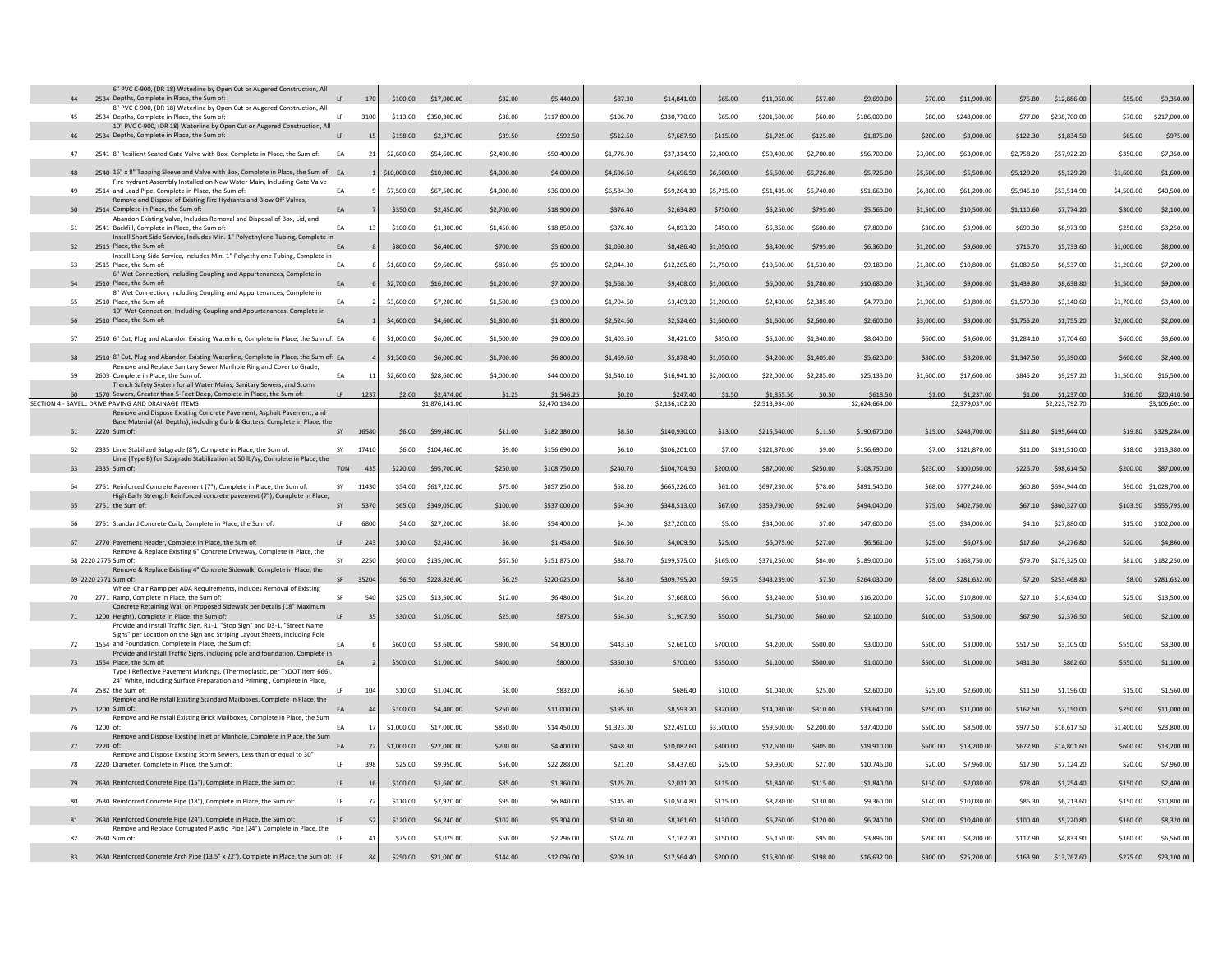| 44 | 6" PVC C-900, (DR 18) Waterline by Open Cut or Augered Construction, All<br>2534 Depths, Complete in Place, the Sum of:                                       | LF         | 170            | \$100.00    | \$17,000.00    | \$32.00    | \$5,440.00     | \$87.30    | \$14,841.00    | \$65.00    | \$11,050.00    | \$57.00    | \$9,690.00     | \$70.00    | \$11,900.00           | \$75.80    | \$12,886,00          | \$55.00    | \$9,350.00             |
|----|---------------------------------------------------------------------------------------------------------------------------------------------------------------|------------|----------------|-------------|----------------|------------|----------------|------------|----------------|------------|----------------|------------|----------------|------------|-----------------------|------------|----------------------|------------|------------------------|
| 45 | 8" PVC C-900, (DR 18) Waterline by Open Cut or Augered Construction, All<br>2534 Denths, Complete in Place, the Sum of:                                       | 1F         | 3100           | \$113.00    | \$350,300.00   | \$38.00    | \$117,800.00   | \$106.70   | \$330,770.00   | \$65.00    | \$201,500.00   | \$60.00    | \$186,000.00   | \$80.00    | \$248,000.00          | \$77.00    | \$238,700.00         | \$70.00    | \$217,000.00           |
| 46 | 10" PVC C-900, (DR 18) Waterline by Open Cut or Augered Construction, All<br>2534 Depths, Complete in Place, the Sum of:                                      | IF         | 15             | \$158.00    | \$2,370.00     | \$39.50    | \$592.50       | \$512.50   | \$7,687.50     | \$115.00   | \$1,725.00     | \$125.00   | \$1,875.00     | \$200.00   | \$3,000.00            | \$122.30   | \$1,834.50           | \$65.00    | \$975.00               |
|    |                                                                                                                                                               |            |                |             |                |            |                |            |                |            |                |            |                |            |                       |            |                      |            |                        |
| 47 | 2541 8" Resilient Seated Gate Valve with Box, Complete in Place, the Sum of:                                                                                  | EA         | 21             | \$2,600.00  | \$54,600.00    | \$2,400.00 | \$50,400.00    | \$1,776.90 | \$37,314.90    | \$2,400.00 | \$50,400.00    | \$2,700.00 | \$56,700.00    | \$3,000.00 | \$63,000.00           | \$2,758.20 | \$57,922.20          | \$350.00   | \$7,350.00             |
| 48 | 2540 16" x 8" Tapping Sleeve and Valve with Box, Complete in Place, the Sum of: EA<br>Fire hydrant Assembly Installed on New Water Main, Including Gate Valve |            |                | \$10,000.00 | \$10,000.00    | \$4,000.00 | \$4,000.00     | \$4,696.50 | \$4,696.50     | \$6,500.00 | \$6,500.00     | \$5,726.00 | \$5,726.00     | \$5,500.00 | \$5,500.00            | \$5,129.20 | \$5,129.20           | \$1,600.00 | \$1,600.00             |
| 49 | 2514 and Lead Pipe, Complete in Place, the Sum of:                                                                                                            | EA         |                | \$7,500.00  | \$67,500.00    | \$4,000.00 | \$36,000.00    | \$6,584.90 | \$59,264.10    | \$5,715.00 | \$51,435.00    | \$5,740.00 | \$51,660.00    | \$6,800.00 | \$61,200.00           | \$5,946.10 | \$53,514.90          | \$4,500.00 | \$40,500.00            |
| 50 | Remove and Dispose of Existing Fire Hydrants and Blow Off Valves,<br>2514 Complete in Place, the Sum of:                                                      | EA         |                | \$350.00    | \$2,450.00     | \$2,700.00 | \$18,900.00    | \$376.40   | \$2,634.80     | \$750.00   | \$5,250.00     | \$795.00   | \$5,565.00     | \$1,500.00 | \$10,500.00           | \$1,110.60 | \$7,774.20           | \$300.00   | \$2,100.00             |
| 51 | Abandon Existing Valve, Includes Removal and Disposal of Box, Lid, and<br>2541 Backfill, Complete in Place, the Sum of:                                       | EA         |                | \$100.00    | \$1,300.00     | \$1,450.00 | \$18,850.00    | \$376.40   | \$4,893.20     | \$450.00   | \$5,850.00     | \$600.00   | \$7,800.00     | \$300.00   | \$3,900.00            | \$690.30   | \$8,973.90           | \$250.00   | \$3,250.00             |
| 52 | Install Short Side Service, Includes Min. 1" Polyethylene Tubing, Complete in<br>2515 Place, the Sum of:                                                      | EA         |                | \$800.00    | \$6,400.00     | \$700.00   | \$5,600.00     | \$1,060.80 | \$8,486,40     | \$1,050.00 | \$8,400.00     | \$795.00   | \$6,360.00     | \$1,200.00 | \$9,600.00            | \$716.70   | \$5,733.60           | \$1,000.00 | \$8,000.00             |
| 53 | Install Long Side Service, Includes Min. 1" Polyethylene Tubing, Complete in<br>2515 Place, the Sum of:                                                       | FA         |                | \$1,600.00  | \$9,600.00     | \$850.00   | \$5,100.00     | \$2,044.30 | \$12,265.80    | \$1,750.00 | \$10,500.00    | \$1,530.00 | \$9,180.00     | \$1,800.00 | \$10,800.00           | \$1,089.50 | \$6,537.00           | \$1,200.00 | \$7,200.00             |
| 54 | 6" Wet Connection, Including Coupling and Appurtenances, Complete in<br>2510 Place, the Sum of:                                                               | EA         |                | \$2,700.00  | \$16,200.00    | \$1,200.00 | \$7,200.00     | \$1,568.00 | \$9,408.00     | \$1,000.00 | \$6,000.00     |            | \$10,680.00    | \$1,500.00 | \$9,000,00            | \$1,439.80 | \$8,638.80           | \$1,500.00 |                        |
|    | 8" Wet Connection, Including Coupling and Appurtenances, Complete in                                                                                          |            |                |             |                |            |                |            |                |            |                | \$1,780.00 |                |            |                       |            |                      |            | \$9,000.00             |
| 55 | 2510 Place, the Sum of:<br>10" Wet Connection, Including Coupling and Appurtenances, Complete in                                                              | FA         |                | \$3,600.00  | \$7,200.00     | \$1,500.00 | \$3,000.00     | \$1,704.60 | \$3,409.20     | \$1,200.00 | \$2,400.00     | \$2,385.00 | \$4,770.00     | \$1,900.00 | \$3,800.00            | \$1,570.30 | \$3,140.60           | \$1,700.00 | \$3,400.00             |
| 56 | 2510 Place, the Sum of:                                                                                                                                       | <b>FA</b>  |                | \$4,600.00  | \$4,600.00     | \$1,800.00 | \$1,800.00     | \$2,524.60 | \$2,524.60     | \$1,600.00 | \$1,600.00     | \$2,600.00 | \$2,600.00     | \$3,000.00 | \$3,000.00            | \$1,755.20 | \$1,755.20           | \$2,000.00 | \$2,000.00             |
| 57 | 2510 6" Cut, Plug and Abandon Existing Waterline, Complete in Place, the Sum of: EA                                                                           |            |                | \$1,000.00  | \$6,000.00     | \$1,500.00 | \$9,000.00     | \$1,403.50 | \$8,421.00     | \$850.00   | \$5,100.00     | \$1,340.00 | \$8,040.00     | \$600.00   | \$3,600.00            | \$1,284.10 | \$7,704.60           | \$600.00   | \$3,600.00             |
| 58 | 2510 8" Cut, Plug and Abandon Existing Waterline, Complete in Place, the Sum of: EA                                                                           |            |                | \$1,500.00  | \$6,000.00     | \$1,700.00 | \$6,800.00     | \$1,469.60 | \$5,878.40     | \$1,050.00 | \$4,200.00     | \$1,405.00 | \$5,620.00     | \$800.00   | \$3,200.00            | \$1,347.50 | \$5,390.00           | \$600.00   | \$2,400.00             |
| 59 | Remove and Replace Sanitary Sewer Manhole Ring and Cover to Grade,<br>2603 Complete in Place, the Sum of:                                                     | EA         |                | \$2,600.00  | \$28,600.00    | \$4,000.00 | \$44,000.00    | \$1.540.10 | \$16,941.10    | \$2,000.00 | \$22,000.00    | \$2,285.00 | \$25,135.00    | \$1,600.00 | \$17,600.00           | \$845.20   | \$9,297.20           | \$1,500.00 | \$16,500.00            |
| 60 | Trench Safety System for all Water Mains, Sanitary Sewers, and Storm<br>1570 Sewers, Greater than 5-Feet Deep, Complete in Place, the Sum of:                 |            | 1237           | \$2.00      | \$2,474.00     | \$1.25     | \$1,546.25     | \$0.20     | \$247.40       | \$1.50     | \$1,855.50     | \$0.50     | \$618.50       | \$1.00     | \$1,237.00            | \$1.00     | \$1,237.00           | \$16.50    | \$20,410.50            |
|    | SECTION 4 - SAVELL DRIVE PAVING AND DRAINAGE ITEMS                                                                                                            |            |                |             | \$1,876,141.00 |            | \$2,470,134.00 |            | \$2,136,102.20 |            | \$2.513.934.00 |            | \$2,624,664.00 |            | \$2,379,037,00        |            | \$2,223,792.70       |            | \$3,106,601.00         |
|    | Remove and Dispose Existing Concrete Pavement, Asphalt Pavement, and<br>Base Material (All Depths), including Curb & Gutters, Complete in Place, the          |            |                |             |                |            |                |            |                |            |                |            |                |            |                       |            |                      |            |                        |
|    | 61 2220 Sum of                                                                                                                                                | SY         | 16580          | \$6.00      | \$99,480.00    | \$11.00    | \$182,380.00   | \$8.50     | \$140,930.00   | \$13.00    | \$215,540.00   | \$11.50    | \$190,670.00   |            | \$15.00 \$248,700.00  |            | \$11.80 \$195,644.00 |            | \$19.80 \$328,284.00   |
| 62 | 2335 Lime Stabilized Subgrade (8"), Complete in Place, the Sum of:                                                                                            | SY         | 17410          | \$6.00      | \$104,460.00   | \$9.00     | \$156,690.00   | \$6.10     | \$106,201.00   | \$7.00     | \$121,870.00   | \$9.00     | \$156,690.00   |            | \$7.00 \$121,870.00   | \$11.00    | \$191,510.00         | \$18.00    | \$313,380.00           |
| 63 | Lime (Type B) for Subgrade Stabilization at 50 lb/sy, Complete in Place, the<br>2335 Sum of:                                                                  | <b>TON</b> | 435            | \$220.00    | \$95,700.00    | \$250.00   | \$108,750.00   | \$240.70   | \$104,704.50   | \$200.00   | \$87,000.00    | \$250.00   | \$108,750.00   |            | \$230.00 \$100.050.00 | \$226,70   | \$98,614.50          | \$200,00   | \$87,000.00            |
| 64 | 2751 Reinforced Concrete Pavement (7"), Complete in Place, the Sum of:                                                                                        | SY         | 11430          | \$54.00     | \$617,220.00   | \$75.00    | \$857,250.00   | \$58.20    | \$665,226.00   | \$61.00    | \$697,230.00   | \$78.00    | \$891,540.00   | \$68.00    | \$777,240.00          | \$60.80    | \$694,944,00         |            | \$90.00 \$1,028,700.00 |
| 65 | High Early Strength Reinforced concrete pavement (7"), Complete in Place,<br>2751 the Sum of                                                                  | SY         | 5370           | \$65.00     | \$349,050.00   | \$100.00   | \$537,000.00   | \$64.90    | \$348,513.00   | \$67,00    | \$359,790.00   | \$92.00    | \$494,040.00   |            | \$75.00 \$402,750.00  |            | \$67.10 \$360,327.00 |            | \$103.50 \$555,795.00  |
| 66 | 2751 Standard Concrete Curb, Complete in Place, the Sum of:                                                                                                   | 1F         | 6800           | \$4.00      | \$27,200.00    | \$8.00     | \$54,400.00    | \$4.00     | \$27,200.00    | \$5.00     | \$34,000.00    | \$7.00     | \$47,600.00    | \$5.00     | \$34,000.00           | \$4.10     | \$27,880.00          | \$15.00    | \$102,000.00           |
|    |                                                                                                                                                               |            |                |             |                |            |                |            |                |            |                |            |                |            |                       |            |                      |            |                        |
| 67 | 2770 Pavement Header, Complete in Place, the Sum of:<br>Remove & Replace Existing 6" Concrete Driveway, Complete in Place, the                                | LF         | 243            | \$10.00     | \$2,430.00     | \$6.00     | \$1,458.00     | \$16.50    | \$4,009.50     | \$25.00    | \$6,075.00     | \$27.00    | \$6,561.00     | \$25.00    | \$6,075.00            | \$17.60    | \$4,276.80           | \$20.00    | \$4,860.00             |
|    | 68 2220 2775 Sum of:<br>Remove & Replace Existing 4" Concrete Sidewalk, Complete in Place, the                                                                | SY         | 2250           | \$60.00     | \$135,000.00   | \$67.50    | \$151,875.00   | \$88.70    | \$199,575.00   | \$165.00   | \$371,250.00   | \$84.00    | \$189,000.00   | \$75.00    | \$168,750.00          | \$79.70    | \$179,325.00         | \$81.00    | \$182,250.00           |
|    | 69 2220 2771 Sum of:                                                                                                                                          | SF         | 35204          | \$6.50      | \$228,826.00   | \$6.25     | \$220,025.00   | \$8.80     | \$309,795.20   | \$9.75     | \$343,239.00   | \$7.50     | \$264,030.00   | \$8.00     | \$281,632.00          | \$7.20     | \$253,468.80         | \$8.00     | \$281,632.00           |
| 70 | Wheel Chair Ramp per ADA Requirements, Includes Removal of Existing<br>2771 Ramp, Complete in Place, the Sum of:                                              | SF         | 540            | \$25.00     | \$13,500.00    | \$12.00    | \$6,480.00     | \$14.20    | \$7,668.00     | \$6.00     | \$3,240.00     | \$30.00    | \$16,200.00    | \$20.00    | \$10,800.00           | \$27.10    | \$14,634.00          | \$25.00    | \$13,500.00            |
| 71 | Concrete Retaining Wall on Proposed Sidewalk per Details (18" Maximum<br>1200 Height), Complete in Place, the Sum of:                                         | LF         | 35             | \$30.00     | \$1,050.00     | \$25.00    | \$875.00       | \$54.50    | \$1,907.50     | \$50.00    | \$1,750.00     | \$60.00    | \$2,100.00     | \$100.00   | \$3,500.00            | \$67.90    | \$2,376.50           | \$60,00    | \$2,100.00             |
|    | Provide and Install Traffic Sign, R1-1, "Stop Sign" and D3-1, "Street Name                                                                                    |            |                |             |                |            |                |            |                |            |                |            |                |            |                       |            |                      |            |                        |
| 72 | Signs" per Location on the Sign and Striping Layout Sheets, Including Pole<br>1554 and Foundation, Complete in Place, the Sum of:                             | EA         |                | \$600.00    | \$3,600.00     | \$800.00   | \$4,800.00     | \$443.50   | \$2,661.00     | \$700.00   | \$4,200.00     | \$500.00   | \$3,000.00     | \$500.00   | \$3,000.00            | \$517.50   | \$3,105.00           | \$550.00   | \$3,300.00             |
|    | Provide and Install Traffic Signs, including pole and foundation, Complete in                                                                                 |            |                |             |                |            |                |            |                |            |                |            |                |            |                       |            |                      |            |                        |
| 73 | 1554 Place, the Sum of:<br>Type I Reflective Pavement Markings, (Thermoplastic, per TxDOT Item 666),                                                          | EA         |                | \$500.00    | \$1,000.00     | \$400.00   | \$800.00       | \$350.30   | \$700.60       | \$550.00   | \$1,100.00     | \$500.00   | \$1,000.00     | \$500.00   | \$1,000.00            | \$431.30   | \$862.60             | \$550.00   | \$1,100.00             |
| 74 | 24" White, Including Surface Preparation and Priming, Complete in Place,<br>2582 the Sum of                                                                   | LE.        | 104            | \$10.00     | \$1,040.00     | \$8.00     | \$832.00       | \$6.60     | \$686.40       | \$10.00    | \$1,040.00     | \$25.00    | \$2,600.00     | \$25.00    | \$2,600.00            | \$11.50    | \$1,196.00           | \$15.00    | \$1,560.00             |
| 75 | Remove and Reinstall Existing Standard Mailboxes, Complete in Place, the<br>1200 Sum of                                                                       | EA         | $\Delta\Delta$ | \$100.00    | \$4,400.00     | \$250.00   | \$11,000.00    | \$195.30   | \$8,593.20     | \$320.00   | \$14,080.00    | \$310.00   | \$13,640.00    | \$250.00   | \$11,000.00           | \$162.50   | \$7,150.00           | \$250.00   | \$11,000.00            |
|    | Remove and Reinstall Existing Brick Mailboxes, Complete in Place, the Sum                                                                                     |            |                |             |                |            |                |            |                |            |                |            |                |            |                       |            |                      |            |                        |
| 76 | 1200 of<br>Remove and Dispose Existing Inlet or Manhole, Complete in Place, the Sum                                                                           | EA         | 17             | \$1,000.00  | \$17,000.00    | \$850.00   | \$14,450.00    | \$1,323.00 | \$22,491.00    | \$3,500.00 | \$59,500.00    | \$2,200.00 | \$37,400.00    | \$500.00   | \$8,500.00            | \$977.50   | \$16,617.50          | \$1,400.00 | \$23,800.00            |
| 77 | 2220 of:<br>Remove and Dispose Existing Storm Sewers, Less than or equal to 30'                                                                               | EA         | 22             | \$1,000.00  | \$22,000.00    | \$200.00   | \$4,400.00     | \$458.30   | \$10,082.60    | \$800.00   | \$17,600.00    | \$905.00   | \$19,910.00    | \$600.00   | \$13,200.00           | \$672.80   | \$14,801.60          | \$600.00   | \$13,200.00            |
| 78 | 2220 Diameter, Complete in Place, the Sum of                                                                                                                  | LF         | 398            | \$25.00     | \$9,950.00     | \$56.00    | \$22,288.00    | \$21.20    | \$8,437.60     | \$25.00    | \$9,950.00     | \$27.00    | \$10,746.00    | \$20.00    | \$7,960.00            | \$17.90    | \$7,124.20           | \$20.00    | \$7,960.00             |
| 79 | 2630 Reinforced Concrete Pipe (15"), Complete in Place, the Sum of:                                                                                           | LF         | 16             | \$100.00    | \$1,600.00     | \$85.00    | \$1,360.00     | \$125.70   | \$2,011.20     | \$115.00   | \$1,840.00     | \$115.00   | \$1,840.00     | \$130.00   | \$2,080.00            | \$78.40    | \$1,254.40           | \$150.00   | \$2,400.00             |
| 80 | 2630 Reinforced Concrete Pipe (18"), Complete in Place, the Sum of:                                                                                           | 1F         | 72             | \$110.00    | \$7,920.00     | \$95.00    | \$6,840.00     | \$145.90   | \$10,504.80    | \$115.00   | \$8,280.00     | \$130.00   | \$9,360.00     | \$140.00   | \$10,080.00           | \$86.30    | \$6,213.60           | \$150.00   | \$10,800.00            |
| 81 | 2630 Reinforced Concrete Pipe (24"), Complete in Place, the Sum of:                                                                                           | LF         | 52             | \$120.00    | \$6,240.00     | \$102.00   | \$5,304.00     | \$160.80   | \$8,361.60     | \$130.00   | \$6,760.00     | \$120.00   | \$6,240.00     | \$200.00   | \$10,400.00           | \$100.40   | \$5,220.80           | \$160.00   | \$8,320.00             |
| 82 | Remove and Replace Corrugated Plastic Pipe (24"), Complete in Place, the<br>2630 Sum of:                                                                      | 1F         | 41             | \$75.00     | \$3,075.00     | \$56.00    | \$2,296.00     | \$174.70   | \$7.162.70     | \$150.00   | \$6,150.00     | \$95.00    | \$3,895.00     | \$200.00   | \$8,200,00            | \$117.90   | \$4,833.90           | \$160.00   | \$6,560.00             |
| 83 | 2630 Reinforced Concrete Arch Pipe (13.5" x 22"), Complete in Place, the Sum of: LF                                                                           |            | 84             | \$250.00    | \$21,000.00    | \$144.00   | \$12,096.00    | \$209.10   | \$17,564.40    | \$200.00   | \$16,800.00    | \$198.00   | \$16,632.00    | \$300.00   | \$25,200,00           | \$163.90   | \$13,767.60          | \$275.00   | \$23,100.00            |
|    |                                                                                                                                                               |            |                |             |                |            |                |            |                |            |                |            |                |            |                       |            |                      |            |                        |